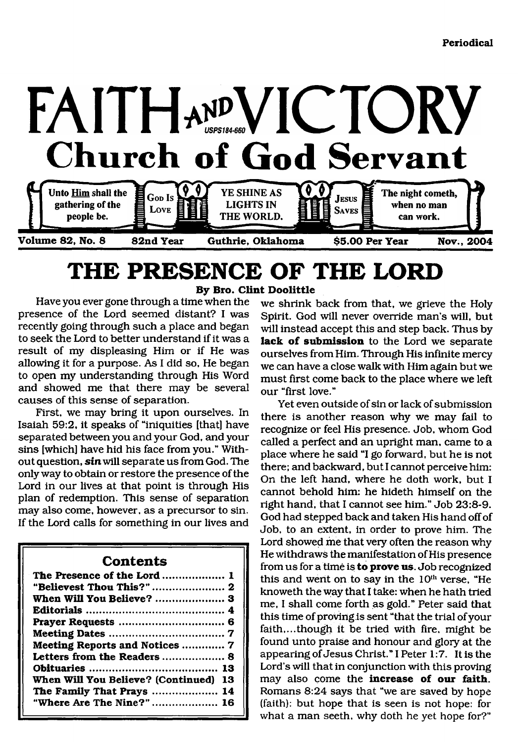

# <span id="page-0-0"></span>**THE PRESENCE OF THE LORD**

**By Bro. Clint Doolittle**

Have you ever gone through a time when the presence of the Lord seemed distant? I was recently going through such a place and began to seek the Lord to better understand if it was a result of my displeasing Him or if He was allowing it for a purpose. As I did so, He began to open my understanding through His Word and showed me that there may be several causes of this sense of separation.

First, we may bring it upon ourselves. In Isaiah 59:2, it speaks of "iniquities [that] have separated between you and your God, and your sins [which] have hid his face from you." Without question, *sin* will separate us from God. The only way to obtain or restore the presence of the Lord in our lives at that point is through His plan of redemption. This sense of separation may also come, however, as a precursor to sin. If the Lord calls for something in our lives and

#### **Contents**

| The Presence of the Lord 1               |
|------------------------------------------|
| "Believest Thou This?" 2                 |
| When Will You Believe?  3                |
|                                          |
|                                          |
|                                          |
| Meeting Reports and Notices  7           |
|                                          |
|                                          |
| When Will You Believe? (Continued)<br>13 |
| The Family That Prays  14                |
| "Where Are The Nine?" 16                 |

we shrink back from that, we grieve the Holy Spirit. God will never override man's will, but will instead accept this and step back. Thus by lack of submission to the Lord we separate ourselves from Him. Through His infinite mercy we can have a close walk with Him again but we must first come back to the place where we left our "first love."

Yet even outside of sin or lack of submission there is another reason why we may fail to recognize or feel His presence. Job, whom God called a perfect and an upright man, came to a place where he said "I go forward, but he is not there; and backward, but I cannot perceive him: On the left hand, where he doth work, but I cannot behold him: he hideth himself on the right hand, that I cannot see him." Job 23:8-9. God had stepped back and taken His hand off of Job, to an extent, in order to prove him. The Lord showed me that very often the reason why He withdraws the manifestation of His presence from us for a time is **to prove us.** Job recognized this and went on to say in the  $10<sup>th</sup>$  verse. "He knoweth the way that I take: when he hath tried me, I shall come forth as gold." Peter said that this time of proving is sent "that the trial of your faith,...though it be tried with fire, might be found unto praise and honour and glory at the appearing of Jesus Christ." I Peter 1:7. It is the Lord's will that in conjunction with this proving may also come the **increase of our faith.** Romans 8:24 says that "we are saved by hope (faith): but hope that is seen is not hope: for what a man seeth, why doth he yet hope for?"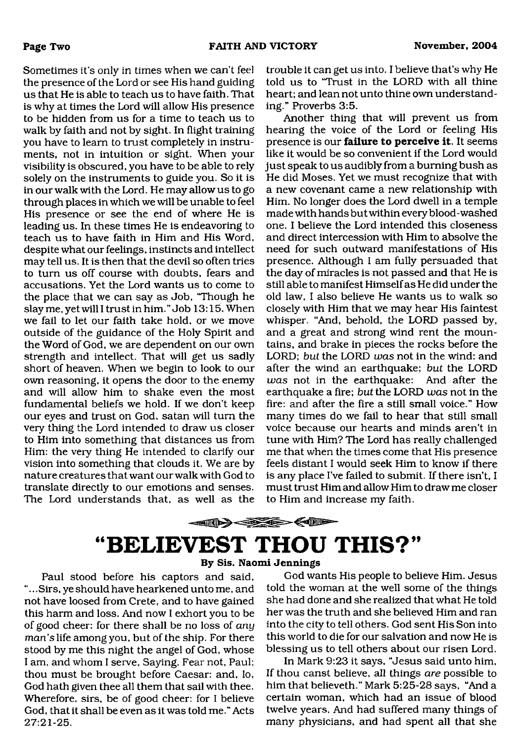Sometimes it's only in times when we can't feel the presence of the Lord or see His hand guiding us that He is able to teach us to have faith. That is why at times the Lord will allow His presence to be hidden from us for a time to teach us to walk by faith and not by sight. In flight training you have to learn to trust completely in instruments, not in intuition or sight. When your visibility is obscured, you have to be able to rely solely on the instruments to guide you. So it is in our walk with the Lord. He may allow us to go through places in which we will be unable to feel His presence or see the end of where He is leading us. In these times He is endeavoring to teach us to have faith in Him and His Word, despite what our feelings, instincts and intellect may tell us. It is then that the devil so often tries to turn us off course with doubts, fears and accusations. Yet the Lord wants us to come to the place that we can say as Job, "Though he slay me, yet will I trust in him." Job 13:15. When we fail to let our faith take hold, or we move outside of the guidance of the Holy Spirit and the Word of God, we are dependent on our own strength and intellect. That will get us sadly short of heaven. When we begin to look to our own reasoning, it opens the door to the enemy and will allow him to shake even the most fundamental beliefs we hold. If we don't keep our eyes and trust on God, satan will turn the very thing the Lord intended to draw us closer to Him into something that distances us from Him: the very thing He intended to clarify our vision into something that clouds it. We are by nature creatures that want our walk with God to translate directly to our emotions and senses. The Lord understands that, as well as the trouble it can get us into. I believe that's why He told us to 'Trust in the LORD with all thine heart; and lean not unto thine own understanding." Proverbs 3:5.

Another thing that will prevent us from hearing the voice of the Lord or feeling His presence is our **failure to perceive it.** It seems like it would be so convenient if the Lord would just speak to us audibly from a burning bush as He did Moses. Yet we must recognize that with a new covenant came a new relationship with Him. No longer does the Lord dwell in a temple made with hands but within every blood-washed one. I believe the Lord intended this closeness and direct intercession with Him to absolve the need for such outward manifestations of His presence. Although I am fully persuaded that the day of miracles is not passed and that He is still able to manifest Himself as He did under the old law, I also believe He wants us to walk so closely with Him that we may hear His faintest whisper. "And, behold, the LORD passed by, and a great and strong wind rent the mountains, and brake in pieces the rocks before the LORD; *but* the LORD *was* not in the wind: and after the wind an earthquake; *but* the LORD was not in the earthquake: And after the earthquake a fire; *but* the LORD *was* not in the fire: and after the fire a still small voice." How many times do we fail to hear that still small voice because our hearts and minds aren't in tune with Him? The Lord has really challenged me that when the times come that His presence feels distant I would seek Him to know if there is any place I've failed to submit. If there isn't, I must trust Him and allow Him to draw me closer to Him and increase my faith.

### <span id="page-1-0"></span>**- DE SE SID "BELIEVEST THOU THIS?" By Sis. Naomi Jennings**

Paul stood before his captors and said, ".. .Sirs, ye should have hearkened unto me, and not have loosed from Crete, and to have gained this harm and loss. And now I exhort you to be of good cheer: for there shall be no loss of *any man's* life among you, but of the ship. For there stood by me this night the angel of God, whose I am, and whom I serve. Saying, Fear not, Paul; thou must be brought before Caesar: and, lo, God hath given thee all them that sail with thee. Wherefore, sirs, be of good cheer: for I believe God. that it shall be even as it was told me." Acts 27:21-25.

God wants His people to believe Him. Jesus told the woman at the well some of the things she had done and she realized that what He told her was the truth and she believed Him and ran into the city to tell others. God sent His Son into this world to die for our salvation and now He is blessing us to tell others about our risen Lord.

In Mark 9:23 it says, "Jesus said unto him, If thou canst believe, all things *are* possible to him that believeth." Mark 5:25-28 says, "And a certain woman, which had an issue of blood twelve years. And had suffered many things of many physicians, and had spent all that she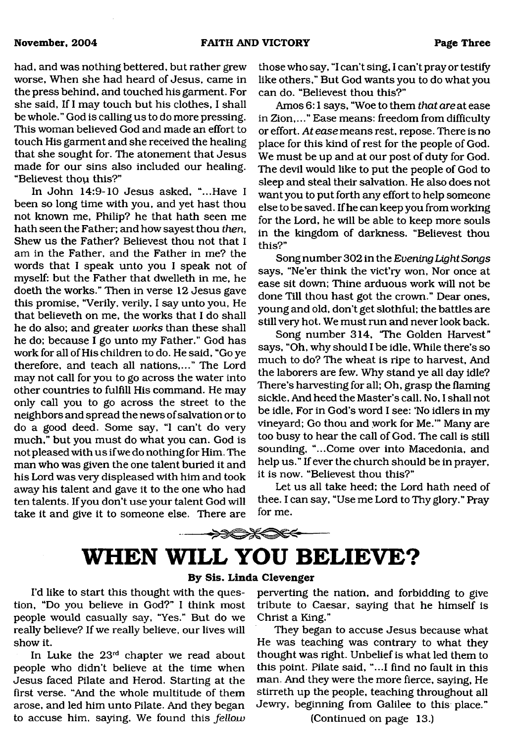had, and was nothing bettered, but rather grew worse, When she had heard of Jesus, came in the press behind, and touched his garment. For she said, If I may touch but his clothes, I shall be whole." God is calling us to do more pressing. This woman believed God and made an effort to touch His garment and she received the healing that she sought for. The atonement that Jesus made for our sins also included our healing. "Believest thou this?"

In John 14:9-10 Jesus asked, "...Have I been so long time with you, and yet hast thou not known me, Philip? he that hath seen me hath seen the Father; and how sayest thou *then,* Shew us the Father? Believest thou not that I am in the Father, and the Father in me? the words that I speak unto you I speak not of myself: but the Father that dwelleth in me, he doeth the works." Then in verse 12 Jesus gave this promise, "Verily, verily, I say unto you, He that believeth on me, the works that I do shall he do also; and greater *works* than these shall he do; because I go unto my Father." God has work for all of His children to do. He said, "Go ye therefore, and teach all nations,..." The Lord may not call for you to go across the water into other countries to fulfill His command. He may only call you to go across the street to the neighbors and spread the news of salvation or to do a good deed. Some say, "I can't do very much," but you must do what you can. God is not pleased with us if we do nothing for Him. The man who was given the one talent buried it and his Lord was very displeased with him and took away his talent and gave it to the one who had ten talents. If you don't use your talent God will take it and give it to someone else. There are

those who say, "I can't sing, I can't pray or testify like others," But God wants you to do what you can do. "Believest thou this?"

Amos 6:1 says, "Woe to them *that are* at ease in Zion,..." Ease means: freedom from difficulty or effort. *At ease* means rest, repose. There is no place for this kind of rest for the people of God. We must be up and at our post of duty for God. The devil would like to put the people of God to sleep and steal their salvation. He also does not want you to put forth any effort to help someone else to be saved. If he can keep you from working for the Lord, he will be able to keep more souls in the kingdom of darkness. "Believest thou this?"

Song number302 in the *Evening Light Songs* says, "Ne'er think the vict'ry won, Nor once at ease sit down; Thine arduous work will not be done Till thou hast got the crown." Dear ones, young and old, don't get slothful; the battles are still very hot. We must run and never look back.

Song number 314, The Golden Harvest" says, "Oh, why should I be idle, While there's so much to do? The wheat is ripe to harvest, And the laborers are few. Why stand ye all day idle? There's harvesting for all; Oh, grasp the flaming sickle, And heed the Master's call. No, I shall not be idle, For in God's word I see: 'No idlers in my vineyard; Go thou and work for Me.'" Many are too busy to hear the call of God. The call is still sounding, "...Come over into Macedonia, and help us." If ever the church should be in prayer, it is now. "Believest thou this?"

Let us all take heed; the Lord hath need of thee. I can say, "Use me Lord to Thy glory." Pray for me.

<span id="page-2-0"></span>

#### **By Sis. Linda Clevenger**

I'd like to start this thought with the question, "Do you believe in God?" I think most people would casually say, "Yes." But do we really believe? If we really believe, our lives will show it.

In Luke the 23rd chapter we read about people who didn't believe at the time when Jesus faced Pilate and Herod. Starting at the first verse. "And the whole multitude of them arose, and led him unto Pilate. And they began to accuse him, saying, We found this *fellow* perverting the nation, and forbidding to give tribute to Caesar, saying that he himself is Christ a King."

They began to accuse Jesus because what He was teaching was contrary to what they thought was right. Unbelief is what led them to this point. Pilate said, "...I find no fault in this man. And they were the more fierce, saying, He stirreth up the people, teaching throughout all Jewry, beginning from Galilee to this place."

(Continued on page 13.)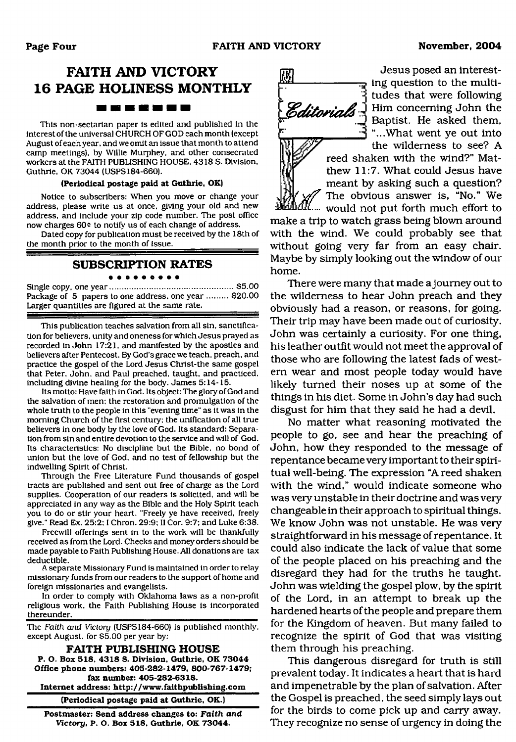## **FAITH AND VICTORY 16 PAGE HOLINESS MONTHLY**

#### <u> 2008 - 2008 - 2008 - 2008 - 2008 - 2008 - 2008 - 2008 - 2008 - 2008 - 2008 - 2008 - 2008 - 2008 - 2008 - 200</u>

This non-sectarian paper is edited and published in the interest of the universal CHURCH OF GOD each month (except August of each year, and we omit an issue that month to attend camp meetings), by Willie Murphey, and other consecrated workers at the FAITH PUBLISHING HOUSE, 4318 S. Division, Guthrie, OK 73044 (USPS184-660).

#### **(Periodical postage paid at Guthrie, OK)**

Notice to subscribers: When you move or change your address, please write us at once, giving your old and new address, and include your zip code number. The post office now charges 60<sup>¢</sup> to notify us of each change of address.

Dated copy for publication must be received by the 18th of the month prior to the month of issue.

#### **SUBSCRIPTION RATES**

Single copy, one year...................................................... \$5.00 Package of 5 papers to one address, one year ......... \$20.00 Larger quantities are figured at the same rate.

This publication teaches salvation from all sin, sanctification for believers, unity and oneness for which Jesus prayed as recorded in John 17:21, and manifested by the apostles and believers after Pentecost. By God's grace we teach, preach, and practice the gospel of the Lord Jesus Christ-the same gospel that Peter, John, and Paul preached, taught, and practiced, including divine healing for the body. James 5:14-15.

Its motto: Have faith in God. Its object: The glory of God and the salvation of men: the restoration and promulgation of the whole truth to the people in this "evening time" as it was in the morning Church of the first century: the unification of all true believers in one body by the love of God. Its standard: Separation from sin and entire devotion to the service and will of God. Its characteristics: No discipline but the Bible, no bond of union but the love of God, and no test of fellowship but the indwelling Spirit of Christ.

Through the Free Literature Fund thousands of gospel tracts are published and sent out free of charge as the Lord supplies. Cooperation of our readers is solicited, and will be appreciated in any way as the Bible and the Holy Spirit teach you to do or stir your heart. "Freely ye have received, freely give." Read Ex. 25:2:1 Chron. 29:9; II Cor. 9:7; and Luke 6:38.

Freewill offerings sent in to the work will be thankfully received as from the Lord. Checks and money orders should be made payable to Faith Publishing House. All donations are tax deductible.

A separate Missionary Fund is maintained in order to relay missionary funds from our readers to the support of home and foreign missionaries and evangelists.

In order to comply with Oklahoma laws as a non-profit religious work, the Faith Publishing House is incorporated thereunder.

The *Faith and Victory* (USPS 184-660) is published monthly, except August, for \$5.00 per year by:

**FAITH PUBLISHING HOUSE P. O. Box 518, 4318 S. Division. Guthrie, OK 73044 Office phone numbers: 405-282-1479, 800-767-1479; fax number: 405-282-6318.**

**Internet address: <http://www.faithpublishing.com>**

**(Periodical postage paid at Guthrie, OK.)**

**Postmaster: Send address changes to:** *Faith and Victory,* **P. O. Box 518, Guthrie, OK 73044.**



Jesus posed an interest- -ing question to the multi- ب<del>يه ا</del> j tudes that were following *Editorials* I Him concerning John the Baptist. He asked them, "...What went ye out into the wilderness to see? A

> reed shaken with the wind?" Matthew 11:7. What could Jesus have meant by asking such a question? *'* The obvious answer is, "No." We

... would not put forth much effort to make a trip to watch grass being blown around with the wind. We could probably see that without going very far from an easy chair. Maybe by simply looking out the window of our home.

There were many that made a journey out to the wilderness to hear John preach and they obviously had a reason, or reasons, for going. Their trip may have been made out of curiosity. John was certainly a curiosity. For one thing, his leather outfit would not meet the approval of those who are following the latest fads of western wear and most people today would have likely turned their noses up at some of the things in his diet. Some in John's day had such disgust for him that they said he had a devil.

No matter what reasoning motivated the people to go, see and hear the preaching of John, how they responded to the message of repentance became very important to their spiritual well-being. The expression "A reed shaken with the wind," would indicate someone who was very unstable in their doctrine and was very changeable in their approach to spiritual things. We know John was not unstable. He was very straightforward in his message of repentance. It could also indicate the lack of value that some of the people placed on his preaching and the disregard they had for the truths he taught. John was wielding the gospel plow, by the spirit of the Lord, in an attempt to break up the hardened hearts of the people and prepare them for the Kingdom of heaven. But many failed to recognize the spirit of God that was visiting them through his preaching.

This dangerous disregard for truth is still prevalent today. It indicates a heart that is hard and impenetrable by the plan of salvation. After the Gospel is preached, the seed simply lays out for the birds to come pick up and cany away. They recognize no sense of urgency in doing the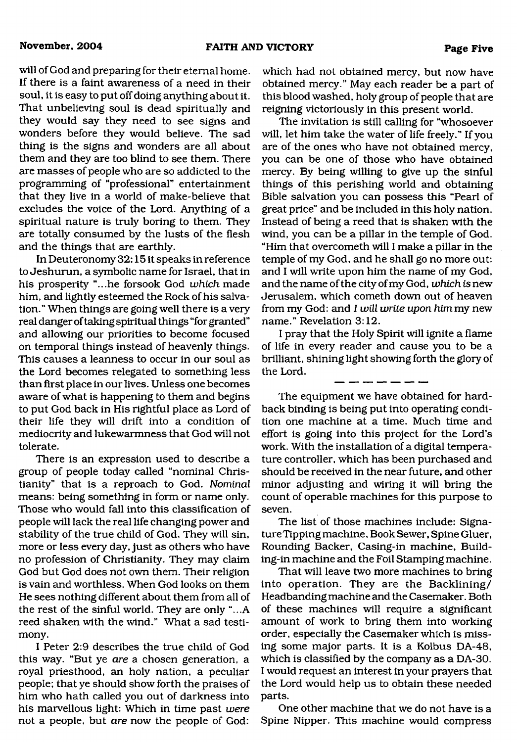will of God and preparing for their eternal home. If there is a faint awareness of a need in their soul, it is easy to put off doing anything about it. That unbelieving soul is dead spiritually and they would say they need to see signs and wonders before they would believe. The sad thing is the signs and wonders are all about them and they are too blind to see them. There are masses of people who are so addicted to the programming of "professional" entertainment that they live in a world of make-believe that excludes the voice of the Lord. Anything of a spiritual nature is truly boring to them. They are totally consumed by the lusts of the flesh and the things that are earthly.

In Deuteronomy 32:15 it speaks in reference to Jeshurun, a symbolic name for Israel, that in his prosperity "...he forsook God *which* made him, and lightly esteemed the Rock of his salvation." When things are going well there is a very real danger of taking spiritual things "for granted" and allowing our priorities to become focused on temporal things instead of heavenly things. This causes a leanness to occur in our soul as the Lord becomes relegated to something less than first place in our lives. Unless one becomes aware of what is happening to them and begins to put God back in His rightful place as Lord of their life they will drift into a condition of mediocrity and lukewarmness that God will not tolerate.

There is an expression used to describe a group of people today called "nominal Christianity" that is a reproach to God. *Nominal* means: being something in form or name only. Those who would fall into this classification of people will lack the real life changing power and stability of the true child of God. They will sin, more or less every day, just as others who have no profession of Christianity. They may claim God but God does not own them. Their religion is vain and worthless. When God looks on them He sees nothing different about them from all of the rest of the sinful world. They are only "...A reed shaken with the wind." What a sad testimony.

I Peter 2:9 describes the true child of God this way. "But ye *are* a chosen generation, a royal priesthood, an holy nation, a peculiar people; that ye should show forth the praises of him who hath called you out of darkness into his marvellous light: Which in time past *were* not a people, but *are* now the people of God:

which had not obtained mercy, but now have obtained mercy." May each reader be a part of this blood washed, holy group of people that are reigning victoriously in this present world.

The invitation is still calling for "whosoever will, let him take the water of life freely." If you are of the ones who have not obtained mercy, you can be one of those who have obtained mercy. By being willing to give up the sinful things of this perishing world and obtaining Bible salvation you can possess this "Pearl of great price" and be included in this holy nation. Instead of being a reed that is shaken with the wind, you can be a pillar in the temple of God. "Him that overcometh will I make a pillar in the temple of my God, and he shall go no more out: and I will write upon him the name of my God, and the name of the city of my God, *which is* new Jerusalem, which cometh down out of heaven from my God: and *I will write upon himmy* new name." Revelation 3:12.

I pray that the Holy Spirit will ignite a flame of life in every reader and cause you to be a brilliant, shining light showing forth the glory of the Lord.

The equipment we have obtained for hardback binding is being put into operating condition one machine at a time. Much time and effort is going into this project for the Lord's work. With the installation of a digital temperature controller, which has been purchased and should be received in the near future, and other minor adjusting and wiring it will bring the count of operable machines for this purpose to seven.

The list of those machines include: Signature Tipping machine, Book Sewer, Spine Gluer, Rounding Backer, Casing-in machine, Building-in machine and the Foil Stamping machine.

That will leave two more machines to bring into operation. They are the Backlining/ Headbanding machine and the Casemaker. Both of these machines will require a significant amount of work to bring them into working order, especially the Casemaker which is missing some major parts. It is a Kolbus DA-48, which is classified by the company as a DA-30. I would request an interest in your prayers that the Lord would help us to obtain these needed parts.

One other machine that we do not have is a Spine Nipper. This machine would compress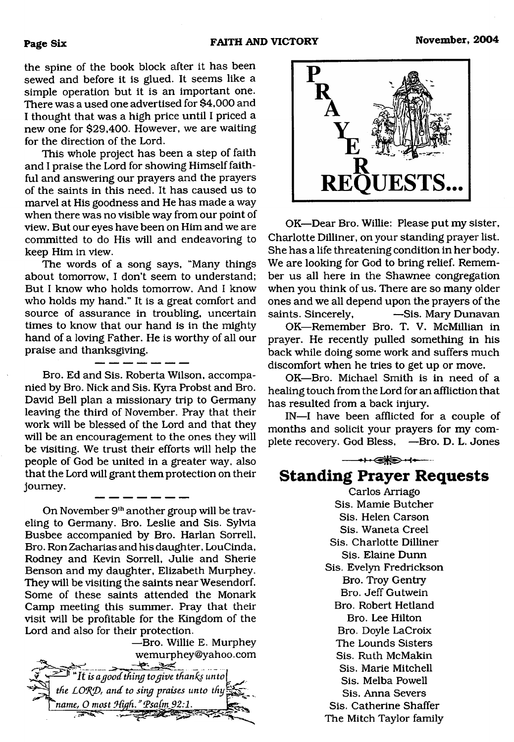the spine of the book block after it has been sewed and before it is glued. It seems like a simple operation but it is an important one. There was a used one advertised for \$4,000 and I thought that was a high price until I priced a new one for \$29,400. However, we are waiting for the direction of the Lord.

This whole project has been a step of faith and I praise the Lord for showing Himself faithful and answering our prayers and the prayers of the saints in this need. It has caused us to marvel at His goodness and He has made a way when there was no visible way from our point of view. But our eyes have been on Him and we are committed to do His will and endeavoring to keep Him in view.

The words of a song says, "Many things about tomorrow, I don't seem to understand; But I know who holds tomorrow, And I know who holds my hand." It is a great comfort and source of assurance in troubling, uncertain times to know that our hand is in the mighty hand of a loving Father. He is worthy of all our praise and thanksgiving.

Bro. Ed and Sis. Roberta Wilson, accompanied by Bro. Nick and Sis. Kyra Probst and Bro. David Bell plan a missionary trip to Germany leaving the third of November. Pray that their work will be blessed of the Lord and that they will be an encouragement to the ones they will be visiting. We trust their efforts will help the people of God be united in a greater way, also that the Lord will grant them protection on their journey.

On November 9<sup>th</sup> another group will be traveling to Germany. Bro. Leslie and Sis. Sylvia Busbee accompanied by Bro. Harlan Sorrell, Bro. Ron Zacharias and his daughter, LouCinda, Rodney and Kevin Sorrell, Julie and Sherie Benson and my daughter, Elizabeth Murphey. They will be visiting the saints near Wesendorf. Some of these saints attended the Monark Camp meeting this summer. Pray that their visit will be profitable for the Kingdom of the Lord and also for their protection.





OK—Dear Bro. Willie: Please put my sister, Charlotte Dilliner, on your standing prayer list. She has a life threatening condition in her body. We are looking for God to bring relief. Remember us all here in the Shawnee congregation when you think of us. There are so many older ones and we all depend upon the prayers of the -Sis. Mary Dunavan

OK—Remember Bro. T. V. McMillian in prayer. He recently pulled something in his back while doing some work and suffers much discomfort when he tries to get up or move.

OK—Bro. Michael Smith is in need of a healing touch from the Lord for an affliction that has resulted from a back injury.

IN—I have been afflicted for a couple of months and solicit your prayers for my complete recovery. God Bless, —Bro. D. L. Jones

 $-++$ 

### **Standing Prayer Requests**

Carlos Arriago Sis. Mamie Butcher Sis. Helen Carson Sis. Waneta Creel Sis. Charlotte Dilliner Sis. Elaine Dunn Sis. Evelyn Fredrickson Bro. Troy Gentry Bro. Jeff Gutwein Bro. Robert Hetland Bro. Lee Hilton Bro. Doyle LaCroix The Lounds Sisters Sis. Ruth McMakin Sis. Marie Mitchell Sis. Melba Powell Sis. Anna Severs Sis. Catherine Shaffer The Mitch Taylor family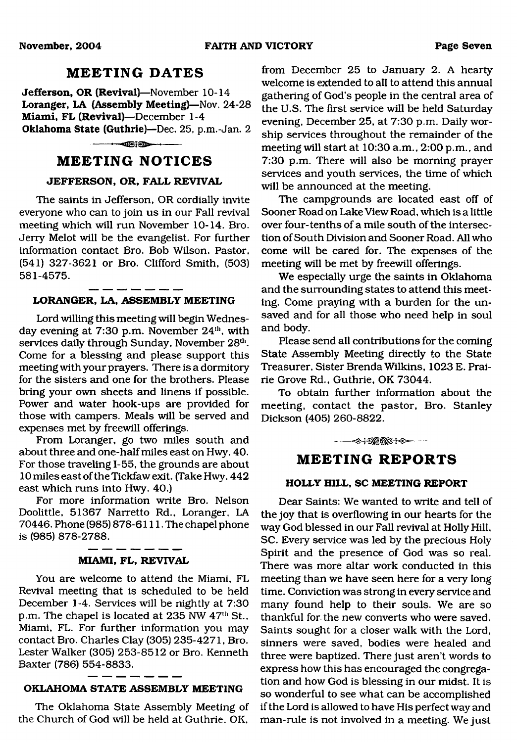### **M EETING DATES**

<span id="page-6-0"></span>**Jefferson, OR (Revival)**—November 10-14 **Loranger, LA (Assembly Meeting)**—Nov. 24-28 **Miami, FL (Revival)**—December 1-4 **Oklahoma State (Guthrie)—**Dec. 25, p.m.-Jan. 2

#### **■ I-----------**

### **MEETING NOTICES**

#### **JEFFERSON, OR, FALL REVIVAL**

The saints in Jefferson, OR cordially invite everyone who can to join us in our Fall revival meeting which will run November 10-14. Bro. Jerry Melot will be the evangelist. For further information contact Bro. Bob Wilson, Pastor, (541) 327-3621 or Bro. Clifford Smith, (503) 581-4575.

#### **LORANGER, LA, ASSEMBLY MEETING**

Lord willing this meeting will begin Wednesday evening at 7:30 p.m. November  $24<sup>th</sup>$ , with services daily through Sunday, November 28th. Come for a blessing and please support this meeting with your prayers. There is a dormitory for the sisters and one for the brothers. Please bring your own sheets and linens if possible. Power and water hook-ups are provided for those with campers. Meals will be served and expenses met by freewill offerings.

From Loranger, go two miles south and about three and one-half miles east on Hwy. 40. For those traveling 1-55, the grounds are about 10 miles east of the Tickfaw exit. (Take Hwy. 442 east which runs into Hwy. 40.)

For more information write Bro. Nelson Doolittle, 51367 Narretto Rd., Loranger, LA 70446. Phone (985) 878-6 111. The chapel phone is (985) 878-2788.

#### **MIAMI, FL, REVIVAL**

You are welcome to attend the Miami, FL Revival meeting that is scheduled to be held December 1-4. Services will be nightly at 7:30 p.m. The chapel is located at  $235$  NW  $47<sup>th</sup>$  St., Miami, FL. For further information you may contact Bro. Charles Clay (305) 235-4271, Bro. Lester Walker (305) 253-8512 or Bro. Kenneth Baxter (786) 554-8833.

#### **OKLAHOMA STATE ASSEMBLY MEETING**

The Oklahoma State Assembly Meeting of the Church of God will be held at Guthrie, OK,

from December 25 to January 2. A hearty welcome is extended to all to attend this annual gathering of God's people in the central area of the U.S. The first service will be held Saturday evening, December 25, at 7:30 p.m. Daily worship services throughout the remainder of the meeting will start at 10:30 a.m., 2:00 p.m., and 7:30 p.m. There will also be morning prayer services and youth services, the time of which will be announced at the meeting.

The campgrounds are located east off of Sooner Road on Lake View Road, which is a little over four-tenths of a mile south of the intersection of South Division and Sooner Road. All who come will be cared for. The expenses of the meeting will be met by freewill offerings.

We especially urge the saints in Oklahoma and the surrounding states to attend this meeting. Come praying with a burden for the unsaved and for all those who need help in soul and body.

Please send all contributions for the coming State Assembly Meeting directly to the State Treasurer, Sister Brenda Wilkins, 1023 E. Prairie Grove Rd., Guthrie, OK 73044.

To obtain further information about the meeting, contact the pastor, Bro. Stanley Dickson (405) 260-8822.

---- --------------------

#### **MEETING REPORTS**

#### **HOLLY HILL, SC MEETING REPORT**

Dear Saints: We wanted to write and tell of the joy that is overflowing in our hearts for the way God blessed in our Fall revival at Holly Hill, SC. Every service was led by the precious Holy Spirit and the presence of God was so real. There was more altar work conducted in this meeting than we have seen here for a very long time. Conviction was strong in every service and many found help to their souls. We are so thankful for the new converts who were saved. Saints sought for a closer walk with the Lord, sinners were saved, bodies were healed and three were baptized. There just aren't words to express how this has encouraged the congregation and how God is blessing in our midst. It is so wonderful to see what can be accomplished if the Lord is allowed to have His perfect way and man-rule is not involved in a meeting. We just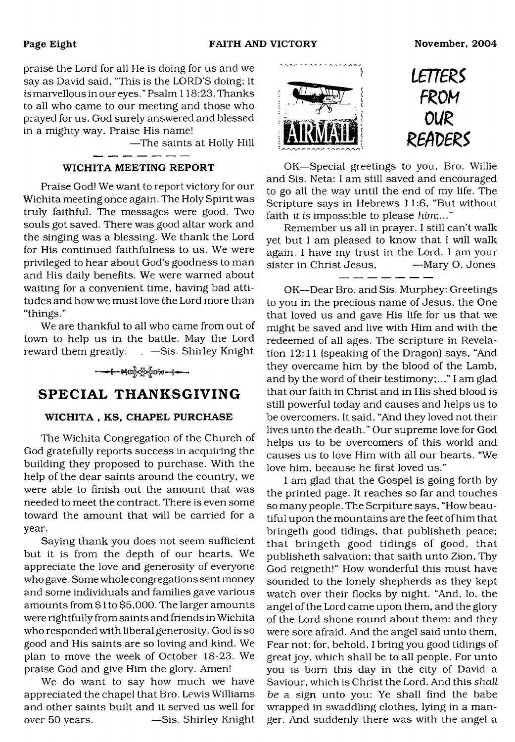praise the Lord for all He is doing for us and we say as David said, "This is the LORD'S doing; it ismarvellousinoureyes." Psalm 118:23. Thanks to all who came to our meeting and those who prayed for us. God surely answered and blessed in a mighty way. Praise His name!

—The saints at Holly Hill

#### WICHITA MEETING REPORT

 $\frac{1}{2}$ 

Praise God! We want to report victory for our Wichita meeting once again. The Holy Spirit was truly faithful. The messages were good. Two souls got saved. There was good altar work and the singing was a blessing. We thank the Lord for His continued faithfulness to us. We were privileged to hear about God's goodness to man and His daily benefits. We were warned about waiting for a convenient time, having bad attitudes and how we must love the Lord more than "things."

We are thankful to all who came from out of town to help us in the battle. May the Lord reward them greatly. . —Sis. Shirley Knight



#### SPECIAL THANKSGIVING

#### WICHITA , KS, CHAPEL PURCHASE

The Wichita Congregation of the Church of God gratefully reports success in acquiring the building they proposed to purchase. With the help of the dear saints around the country, we were able to finish out the amount that was needed to meet the contract. There is even some toward the amount that will be carried for a year.

Saying thank you does not seem sufficient but it is from the depth of our hearts. We appreciate the love and generosity of everyone who gave. Some whole congregations sent money and some individuals and families gave various amounts from \$ lto \$5,000. The larger amounts were rightfully from saints and friends in Wichita who responded with liberal generosity. God is so good and His saints are so loving and kind. We plan to move the week of October 18-23. We praise God and give Him the glory. Amen!

We do want to say how much we have appreciated the chapel that Bro. Lewis Williams and other saints built and it served us well for over 50 years. — Sis. Shirley Knight



*LE*  $FROM$ *ou z mvezs*

OK—Special greetings to you, Bro. Willie and Sis. Neta; I am still saved and encouraged to go all the way until the end of my life. The Scripture says in Hebrews 11:6, "But without faith *it is* impossible to please *him;..."*

Remember us all in prayer. I still can't walk yet but I am pleased to know that I will walk again. I have my trust in the Lord. I am your sister in Christ Jesus, —Mary O. Jones \_\_\_\_\_\_\_\_

OK—Dear Bro. and Sis. Murphey: Greetings to you in the precious name of Jesus, the One that loved us and gave His life for us that we might be saved and live with Him and with the redeemed of all ages. The scripture in Revelation 12:11 (speaking of the Dragon) says, "And they overcame him by the blood of the Lamb, and by the word of their testimony;..." I am glad that our faith in Christ and in His shed blood is still powerful today and causes and helps us to be overcomers. It said, "And they loved not their lives unto the death." Our supreme love for God helps us to be overcomers of this world and causes us to love Him with all our hearts. "We love him, because he first loved us."

I am glad that the Gospel is going forth by the printed page. It reaches so far and touches so many people. The Scrpiture says, "How beautiful upon the mountains are the feet of him that bringeth good tidings, that publisheth peace; that bringeth good tidings of good, that publisheth salvation; that saith unto Zion, Thy God reigneth!" How wonderful this must have sounded to the lonely shepherds as they kept watch over their flocks by night. "And, lo, the angel of the Lord came upon them, and the glory of the Lord shone round about them: and they were sore afraid. And the angel said unto them, Fear not: for. behold. I bring you good tidings of great joy, which shall be to all people. For unto you is born this day in the city of David a Saviour, which is Christ the Lord. And this *shall be* a sign unto you; Ye shall find the babe wrapped in swaddling clothes, lying in a manger. And suddenly there was with the angel a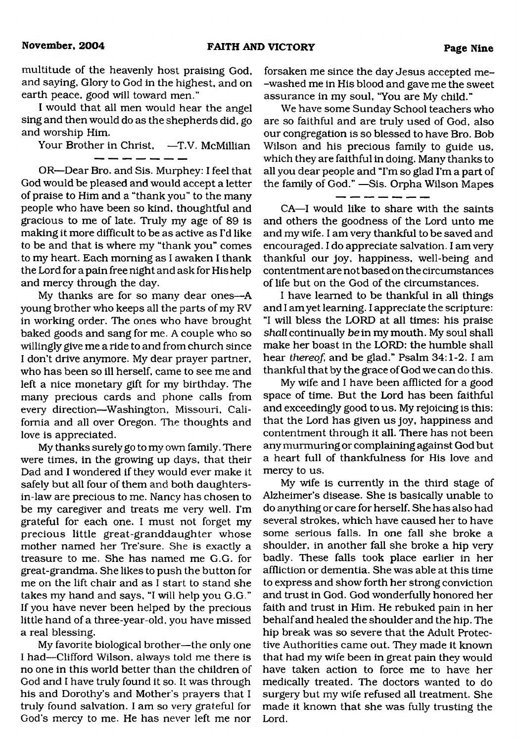multitude of the heavenly host praising God, and saying. Glory to God in the highest, and on earth peace, good will toward men."

I would that all men would hear the angel sing and then would do as the shepherds did, go and worship Him.

Your Brother in Christ, —T.V. McMillian \_ \_ \_ \_ \_ \_ \_

OR—Dear Bro. and Sis. Murphey: I feel that God would be pleased and would accept a letter of praise to Him and a "thank you" to the many people who have been so kind, thoughtful and gracious to me of late. Truly my age of 89 is making it more difficult to be as active as I'd like to be and that is where my "thank you" comes to my heart. Each morning as I awaken I thank the Lord for a pain free night and ask for His help and mercy through the day.

My thanks are for so many dear ones—A young brother who keeps all the parts of my RV in working order. The ones who have brought baked goods and sang for me. A couple who so willingly give me a ride to and from church since I don't drive anymore. My dear prayer partner, who has been so ill herself, came to see me and left a nice monetary gift for my birthday. The many precious cards and phone calls from every direction—Washington, Missouri, California and all over Oregon. The thoughts and love is appreciated.

My thanks surely go to my own family. There were times, in the growing up days, that their Dad and I wondered if they would ever make it safely but all four of them and both daughtersin-law are precious to me. Nancy has chosen to be my caregiver and treats me very well. I'm grateful for each one. I must not forget my precious little great-granddaughter whose mother named her Tre'sure. She is exactly a treasure to me. She has named me G.G. for great-grandma. She likes to push the button for me on the lift chair and as I start to stand she takes my hand and says, "I will help you G.G." If you have never been helped by the precious little hand of a three-year-old, you have missed a real blessing.

My favorite biological brother—the only one I had—Clifford Wilson, always told me there is no one in this world better than the children of God and I have truly found it so. It was through his and Dorothy's and Mother's prayers that I truly found salvation. I am so very grateful for God's mercy to me. He has never left me nor

forsaken me since the day Jesus accepted me- -washed me in His blood and gave me the sweet assurance in my soul, "You are My child."

We have some Sunday School teachers who are so faithful and are truly used of God, also our congregation is so blessed to have Bro. Bob Wilson and his precious family to guide us, which they are faithful in doing. Many thanks to all you dear people and "I'm so glad I'm a part of the family of God." —Sis. Orpha Wilson Mapes

\_\_\_\_\_\_

CA—I would like to share with the saints and others the goodness of the Lord unto me and my wife. I am very thankful to be saved and encouraged. I do appreciate salvation. I am very thankful our joy, happiness, well-being and contentment are not based on the circumstances of life but on the God of the circumstances.

I have learned to be thankful in all things and I am yet learning. I appreciate the scripture: "I will bless the LORD at all times: his praise *shall* continually *be* in my mouth. My soul shall make her boast in the LORD: the humble shall hear *thereof,* and be glad." Psalm 34:1-2. I am thankful that by the grace of God we can do this.

My wife and I have been afflicted for a good space of time. But the Lord has been faithful and exceedingly good to us. My rejoicing is this; that the Lord has given us joy, happiness and contentment through it all. There has not been any murmuring or complaining against God but a heart full of thankfulness for His love and mercy to us.

My wife is currently in the third stage of Alzheimer's disease. She is basically unable to do anything or care for herself. She has also had several strokes, which have caused her to have some serious falls. In one fall she broke a shoulder, in another fall she broke a hip very badly. These falls took place earlier in her affliction or dementia. She was able at this time to express and show forth her strong conviction and trust in God. God wonderfully honored her faith and trust in Him. He rebuked pain in her behalf and healed the shoulder and the hip. The hip break was so severe that the Adult Protective Authorities came out. They made it known that had my wife been in great pain they would have taken action to force me to have her medically treated. The doctors wanted to do surgery but my wife refused all treatment. She made it known that she was fully trusting the Lord.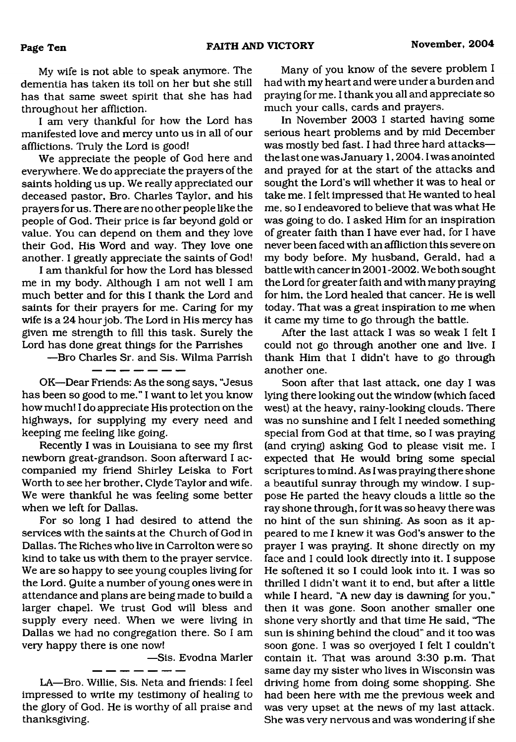My wife is not able to speak anymore. The dementia has taken its toll on her but she still has that same sweet spirit that she has had throughout her affliction.

I am very thankful for how the Lord has manifested love and mercy unto us in all of our afflictions. Truly the Lord is good!

We appreciate the people of God here and everywhere. We do appreciate the prayers of the saints holding us up. We really appreciated our deceased pastor, Bro. Charles Taylor, and his prayers for us. There are no other people like the people of God. Their price is far beyond gold or value. You can depend on them and they love their God, His Word and way. They love one another. I greatly appreciate the saints of God!

I am thankful for how the Lord has blessed me in my body. Although I am not well I am much better and for this I thank the Lord and saints for their prayers for me. Caring for my wife is a 24 hour job. The Lord in His mercy has given me strength to fill this task. Surely the Lord has done great things for the Parrishes

—Bro Charles Sr. and Sis. Wilma Parrish

OK—Dear Friends: As the song says, "Jesus has been so good to me." I want to let you know how much! I do appreciate His protection on the highways, for supplying my every need and keeping me feeling like going.

Recently I was in Louisiana to see my first newborn great-grandson. Soon afterward I accompanied my friend Shirley Leiska to Fort Worth to see her brother, Clyde Taylor and wife. We were thankful he was feeling some better when we left for Dallas.

For so long I had desired to attend the services with the saints at the Church of God in Dallas. The Riches who live in Carrolton were so kind to take us with them to the prayer service. We are so happy to see young couples living for the Lord. Quite a number of young ones were in attendance and plans are being made to build a larger chapel. We trust God will bless and supply every need. When we were living in Dallas we had no congregation there. So I am very happy there is one now!

—Sis. Evodna Marler

LA—Bro. Willie, Sis. Neta and friends: I feel impressed to write my testimony of healing to the glory of God. He is worthy of all praise and thanksgiving.

Many of you know of the severe problem I had with my heart and were under a burden and praying for me. I thank you all and appreciate so much your calls, cards and prayers.

In November 2003 I started having some serious heart problems and by mid December was mostly bed fast. I had three hard attacks the last one was January 1,2004.1 was anointed and prayed for at the start of the attacks and sought the Lord's will whether it was to heal or take me. I felt impressed that He wanted to heal me, so I endeavored to believe that was what He was going to do. I asked Him for an inspiration of greater faith than I have ever had, for I have never been faced with an affliction this severe on my body before. My husband, Gerald, had a battle with cancer in 2001-2002. We both sought the Lord for greater faith and with many praying for him, the Lord healed that cancer. He is well today. That was a great inspiration to me when it came my time to go through the battle.

After the last attack I was so weak I felt I could not go through another one and live. I thank Him that I didn't have to go through another one.

Soon after that last attack, one day I was lying there looking out the window (which faced west) at the heavy, rainy-looking clouds. There was no sunshine and I felt I needed something special from God at that time, so I was praying (and crying) asking God to please visit me. I expected that He would bring some special scriptures to mind. As I was praying there shone a beautiful sunray through my window. I suppose He parted the heavy clouds a little so the ray shone through, for it was so heavy there was no hint of the sun shining. As soon as it appeared to me I knew it was God's answer to the prayer I was praying. It shone directly on my face and I could look directly into it. I suppose He softened it so I could look into it. I was so thrilled I didn't want it to end, but after a little while I heard, "A new day is dawning for you," then it was gone. Soon another smaller one shone very shortly and that time He said, 'The sun is shining behind the cloud" and it too was soon gone. I was so overjoyed I felt I couldn't contain it. That was around 3:30 p.m. That same day my sister who lives in Wisconsin was driving home from doing some shopping. She had been here with me the previous week and was very upset at the news of my last attack. She was very nervous and was wondering if she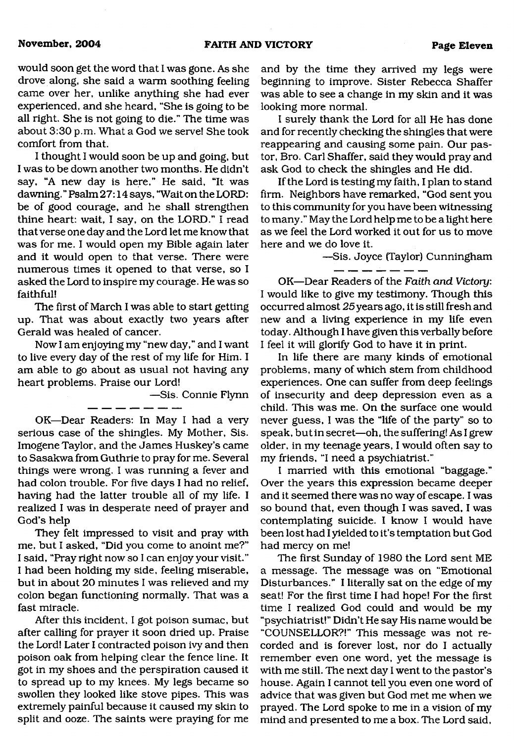#### **November, 2004 FAITH AND VICTORY Page Eleven**

would soon get the word that I was gone. As she drove along, she said a warm soothing feeling came over her, unlike anything she had ever experienced, and she heard, "She is going to be all right. She is not going to die." The time was about 3:30 p.m. What a God we serve! She took comfort from that.

I thought I would soon be up and going, but I was to be down another two months. He didn't say, "A new day is here," He said, "It was dawning." Psalm 27:14 says, "Wait on the LORD: be of good courage, and he shall strengthen thine heart: wait, I say, on the LORD." I read that verse one day and the Lord let me know that was for me. I would open my Bible again later and it would open to that verse. There were numerous times it opened to that verse, so I asked the Lord to inspire my courage. He was so faithful!

The first of March I was able to start getting up. That was about exactly two years after Gerald was healed of cancer.

Now I am enjoying my "new day," and I want to live every day of the rest of my life for Him. I am able to go about as usual not having any heart problems. Praise our Lord!

\_ \_\_ \_\_ \_\_ \_\_ \_\_

—Sis. Connie Flynn

OK—Dear Readers: In May I had a very serious case of the shingles. My Mother, Sis. Imogene Taylor, and the James Huskey's came to Sasakwa from Guthrie to pray for me. Several things were wrong. I was running a fever and had colon trouble. For five days I had no relief, having had the latter trouble all of my life. I realized I was in desperate need of prayer and God's help

They felt impressed to visit and pray with me, but I asked, "Did you come to anoint me?" I said, "Pray right now so I can enjoy your visit." I had been holding my side, feeling miserable, but in about 20 minutes I was relieved and my colon began functioning normally. That was a fast miracle.

After this incident, I got poison sumac, but after calling for prayer it soon dried up. Praise the Lord! Later I contracted poison ivy and then poison oak from helping clear the fence line. It got in my shoes and the perspiration caused it to spread up to my knees. My legs became so swollen they looked like stove pipes. This was extremely painful because it caused my skin to split and ooze. The saints were praying for me

and by the time they arrived my legs were beginning to improve. Sister Rebecca Shaffer was able to see a change in my skin and it was looking more normal.

I surely thank the Lord for all He has done and for recently checking the shingles that were reappearing and causing some pain. Our pastor, Bro. Carl Shaffer, said they would pray and ask God to check the shingles and He did.

If the Lord is testing my faith, I plan to stand firm. Neighbors have remarked, "God sent you to this community for you have been witnessing to many. " May the Lord help me to be a light here as we feel the Lord worked it out for us to move here and we do love it.

—Sis. Joyce (Taylor) Cunningham

OK—Dear Readers of the *Faith and Victory*: I would like to give my testimony. Though this occurred almost *25* years ago, it is still fresh and new and a living experience in my life even today. Although I have given this verbally before I feel it will glorify God to have it in print.

In life there are many kinds of emotional problems, many of which stem from childhood experiences. One can suffer from deep feelings of insecurity and deep depression even as a child. This was me. On the surface one would never guess, I was the "life of the party" so to speak, but in secret—oh, the suffering! As I grew older, in my teenage years, I would often say to my friends, "I need a psychiatrist."

I married with this emotional "baggage." Over the years this expression became deeper and it seemed there was no way of escape. I was so bound that, even though I was saved, I was contemplating suicide. I know I would have been lost had I yielded to it's temptation but God had mercy on me!

The first Sunday of 1980 the Lord sent ME a message. The message was on "Emotional Disturbances." I literally sat on the edge of my seat! For the first time I had hope! For the first time I realized God could and would be my "psychiatrist!" Didn't He say His name would be "COUNSELLOR?!" This message was not recorded and is forever lost, nor do I actually remember even one word, yet the message is with me still. The next day I went to the pastor's house. Again I cannot tell you even one word of advice that was given but God met me when we prayed. The Lord spoke to me in a vision of my mind and presented to me a box. The Lord said,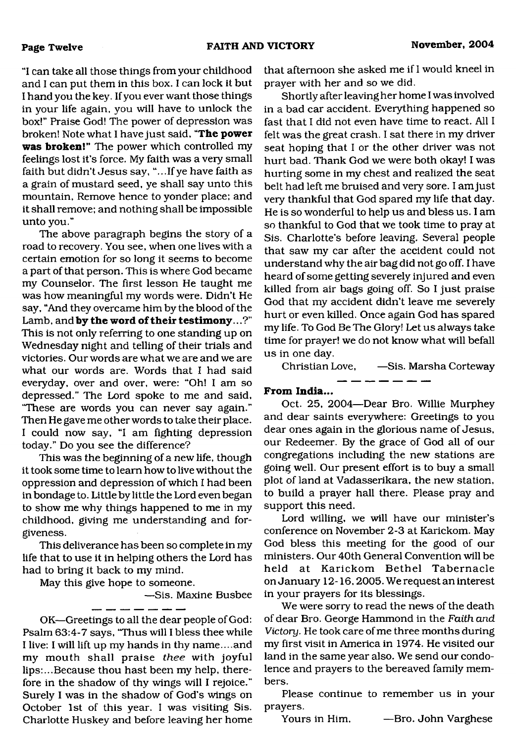"I can take all those things from your childhood and I can put them in this box. I can lock it but I hand you the key. If you ever want those things in your life again, you will have to unlock the box!" Praise God! The power of depression was broken! Note what I have just said, **"The power was broken!"** The power which controlled my feelings lost it's force. My faith was a very small faith but didn't Jesus say, ".. .If ye have faith as a grain of mustard seed, ye shall say unto this mountain, Remove hence to yonder place; and it shall remove; and nothing shall be impossible unto you."

The above paragraph begins the story of a road to recovery. You see, when one lives with a certain emotion for so long it seems to become a part of that person. This is where God became my Counselor. The first lesson He taught me was how meaningful my words were. Didn't He say, "And they overcame him by the blood of the Lamb, and **by the word of their testimony...?"** This is not only referring to one standing up on Wednesday night and telling of their trials and victories. Our words are what we are and we are what our words are. Words that I had said everyday, over and over, were: "Oh! I am so depressed." The Lord spoke to me and said, "These are words you can never say again." Then He gave me other words to take their place. I could now say, "I am fighting depression today." Do you see the difference?

This was the beginning of a new life, though it took some time to learn how to live without the oppression and depression of which I had been in bondage to. Little by little the Lord even began to show me why things happened to me in my childhood, giving me understanding and forgiveness.

This deliverance has been so complete in my life that to use it in helping others the Lord has had to bring it back to my mind.

May this give hope to someone.

—Sis. Maxine Busbee

OK—Greetings to all the dear people of God: Psalm 63:4-7 says, "Thus will I bless thee while I live: I will lift up my hands in thy name....and my mouth shall praise *thee* with joyful lips:...Because thou hast been my help, therefore in the shadow of thy wings will I rejoice." Surely I was in the shadow of God's wings on October 1st of this year. I was visiting Sis. Charlotte Huskey and before leaving her home that afternoon she asked me if I would kneel in prayer with her and so we did.

Shortly after leaving her home I was involved in a bad car accident. Everything happened so fast that I did not even have time to react. All I felt was the great crash. I sat there in my driver seat hoping that I or the other driver was not hurt bad. Thank God we were both okay! I was hurting some in my chest and realized the seat belt had left me bruised and very sore. I am just very thankful that God spared my life that day. He is so wonderful to help us and bless us. I am so thankful to God that we took time to pray at Sis. Charlotte's before leaving. Several people that saw my car after the accident could not understand why the air bag did not go off. I have heard of some getting severely injured and even killed from air bags going off. So I just praise God that my accident didn't leave me severely hurt or even killed. Once again God has spared my life. To God Be The Glory! Let us always take time for prayer! we do not know what will befall us in one day.

Christian Love, 
—Sis. Marsha Corteway

#### **From India...**

Oct. 25, 2004—Dear Bro. Willie Murphey and dear saints everywhere: Greetings to you dear ones again in the glorious name of Jesus, our Redeemer. By the grace of God all of our congregations including the new stations are going well. Our present effort is to buy a small plot of land at Vadasserikara, the new station, to build a prayer hall there. Please pray and support this need.

Lord willing, we will have our minister's conference on November 2-3 at Karickom. May God bless this meeting for the good of our ministers. Our 40th General Convention will be held at Karickom Bethel Tabernacle on January 12-16,2005. We request an interest in your prayers for its blessings.

We were sorry to read the news of the death of dear Bro. George Hammond in the *Faith and Victory.* He took care of me three months during my first visit in America in 1974. He visited our land in the same year also. We send our condolence and prayers to the bereaved family members.

Please continue to remember us in your prayers.

Yours in Him, —Bro. John Varghese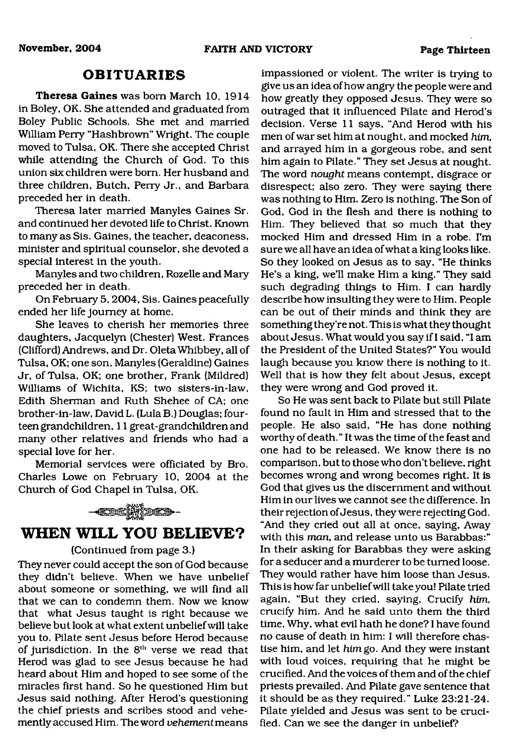#### <span id="page-12-0"></span>**OB ITUAR IES**

**Theresa Gaines** was bom March **10, 1914** in Boley, OK. She attended and graduated from Boley Public Schools. She met and married William Perry "Hashbrown" Wright. The couple moved to Tulsa, OK. There she accepted Christ while attending the Church of God. To this union six children were born. Her husband and three children. Butch, Perry Jr., and Barbara preceded her in death.

Theresa later married Manyles Gaines Sr. and continued her devoted life to Christ. Known to many as Sis. Gaines, the teacher, deaconess, minister and spiritual counselor, she devoted a special interest in the youth.

Manyles and two children, Rozelle and Mary preceded her in death.

On February 5,2004, Sis. Gaines peacefully ended her life journey at home.

She leaves to cherish her memories three daughters, Jacquelyn (Chester) West. Frances (Clifford) Andrews, and Dr. Oleta Whibbey, all of Tulsa, OK; one son, Manyles (Geraldine) Gaines Jr, of Tulsa, OK; one brother, Frank (Mildred) Williams of Wichita, KS; two sisters-in-law, Edith Sherman and Ruth Shehee of CA; one brother-in-law, David L. (Lula B.) Douglas; fourteen grandchildren, 11 great-grandchildren and many other relatives and friends who had a special love for her.

Memorial services were officiated by Bro. Charles Lowe on February 10, 2004 at the Church of God Chapel in Tulsa, OK.



## (Continued from page 3.)

They never could accept the son of God because they didn't believe. When we have unbelief about someone or something, we will find all that we can to condemn them. Now we know that what Jesus taught is right because we believe but look at what extent unbelief will take you to. Pilate sent Jesus before Herod because of jurisdiction. In the 8<sup>th</sup> verse we read that Herod was glad to see Jesus because he had heard about Him and hoped to see some of the miracles first hand. So he questioned Him but Jesus said nothing. After Herod's questioning the chief priests and scribes stood and vehemently accused Him. The word *vehementmeans*

impassioned or violent. The writer is trying to give us an idea of how angry the people were and how greatly they opposed Jesus. They were so outraged that it influenced Pilate and Herod's decision. Verse 11 says, "And Herod with his men of war set him at nought, and mocked *him,* and arrayed him in a gorgeous robe, and sent him again to Pilate." They set Jesus at nought. The word *nought* means contempt, disgrace or disrespect; also zero. They were saying there was nothing to Him. Zero is nothing. The Son of God, God in the flesh and there is nothing to Him. They believed that so much that they mocked Him and dressed Him in a robe. I'm sure we all have an idea of what a king looks like. So they looked on Jesus as to say, "He thinks He's a king, we'll make Him a king." They said such degrading things to Him. I can hardly describe how insulting they were to Him. People can be out of their minds and think they are something they're not. This is what they thought about Jesus. What would you say if I said, "I am the President of the United States?" You would laugh because you know there is nothing to it. Well that is how they felt about Jesus, except they were wrong and God proved it.

So He was sent back to Pilate but still Pilate found no fault in Him and stressed that to the people. He also said, "He has done nothing worthy of death." It was the time of the feast and one had to be released. We know there is no comparison, but to those who don't believe, right becomes wrong and wrong becomes right. It is God that gives us the discernment and without Him in our lives we cannot see the difference. In their rejection of Jesus, they were rejecting God. "And they cried out all at once, saying, Away with this *man,* and release unto us Barabbas:" In their asking for Barabbas they were asking for a seducer and a murderer to be turned loose. They would rather have him loose than Jesus. This is how far unbelief will take you! Pilate tried again, "But they cried, saying, Crucify *him,* crucify him. And he said unto them the third time, Why, what evil hath he done? I have found no cause of death in him: I will therefore chastise him, and let *him* go. And they were instant with loud voices, requiring that he might be crucified. And the voices of them and of the chief priests prevailed. And Pilate gave sentence that it should be as they required." Luke 23:21-24. Pilate yielded and Jesus was sent to be crucified. Can we see the danger in unbelief?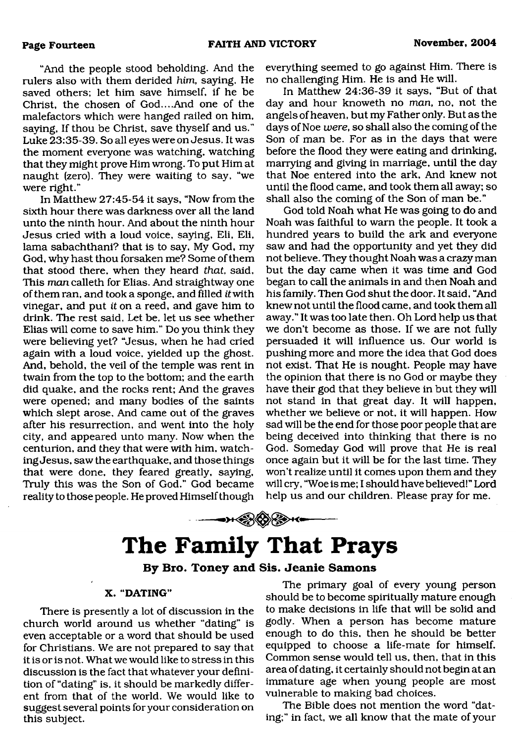"And the people stood beholding. And the rulers also with them derided him, saying. He saved others; let him save himself, if he be Christ, the chosen of God....And one of the malefactors which were hanged railed on him, saying, If thou be Christ, save thyself and us." Luke 23:35-39. So all eyes were on Jesus. It was the moment everyone was watching, watching that they might prove Him wrong. To put Him at naught (zero). They were waiting to say, "we were right."

In Matthew 27:45-54 it says, "Now from the sixth hour there was darkness over all the land unto the ninth hour. And about the ninth hour Jesus cried with a loud voice, saying, Eli, Eli, lama sabachthani? that is to say, My God, my God, why hast thou forsaken me? Some of them that stood there, when they heard *that,* said, This *man* calleth for Elias. And straightway one of them ran, and took a sponge, and filled it with vinegar, and put *it* on a reed, and gave him to drink. The rest said, Let be, let us see whether Elias will come to save him." Do you think they were believing yet? "Jesus, when he had cried again with a loud voice, yielded up the ghost. And, behold, the veil of the temple was rent in twain from the top to the bottom; and the earth did quake, and the rocks rent; And the graves were opened; and many bodies of the saints which slept arose. And came out of the graves after his resurrection, and went into the holy city, and appeared unto many. Now when the centurion, and they that were with him, watching Jesus, saw the earthquake, and those things that were done, they feared greatly, saying, Truly this was the Son of God." God became reality to those people. He proved Himself though

everything seemed to go against Him. There is no challenging Him. He is and He will.

In Matthew 24:36-39 it says, "But of that day and hour knoweth no man, no, not the angels of heaven, but my Father only. But as the days of Noe *were,* so shall also the coming of the Son of man be. For as in the days that were before the flood they were eating and drinking, marrying and giving in marriage, until the day that Noe entered into the ark, And knew not until the flood came, and took them all away; so shall also the coming of the Son of man be."

God told Noah what He was going to do and Noah was faithful to warn the people. It took a hundred years to build the ark and everyone saw and had the opportunity and yet they did not believe. They thought Noah was a crazy man but the day came when it was time and God began to call the animals in and then Noah and his family. Then God shut the door. It said, "And knew not until the flood came, and took them all away." It was too late then. Oh Lord help us that we don't become as those. If we are not fully persuaded it will influence us. Our world is pushing more and more the idea that God does not exist. That He is nought. People may have the opinion that there is no God or maybe they have their god that they believe in but they will not stand in that great day. It will happen, whether we believe or not, it will happen. How sad will be the end for those poor people that are being deceived into thinking that there is no God. Someday God will prove that He is real once again but it will be for the last time. They won't realize until it comes upon them and they will cry, "Woe is me; I should have believed!" Lord help us and our children. Please pray for me.

### **<del>●▶ ◆ ◇ ◇ → → ●</del>**

# <span id="page-13-0"></span>**The Family That Prays**

#### **By Bro. Toney and Sis. Jeanie Samons**

#### **X. "DATING"**

There is presently a lot of discussion in the church world around us whether "dating" is even acceptable or a word that should be used for Christians. We are not prepared to say that it is or is not. What we would like to stress in this discussion is the fact that whatever your definition of "dating" is, it should be markedly different from that of the world. We would like to suggest several points for your consideration on this subject.

The primary goal of every young person should be to become spiritually mature enough to make decisions in life that will be solid and godly. When a person has become mature enough to do this, then he should be better equipped to choose a life-mate for himself. Common sense would tell us, then, that in this area of dating, it certainly should not begin at an immature age when young people are most vulnerable to making bad choices.

The Bible does not mention the word "dating;" in fact, we all know that the mate of your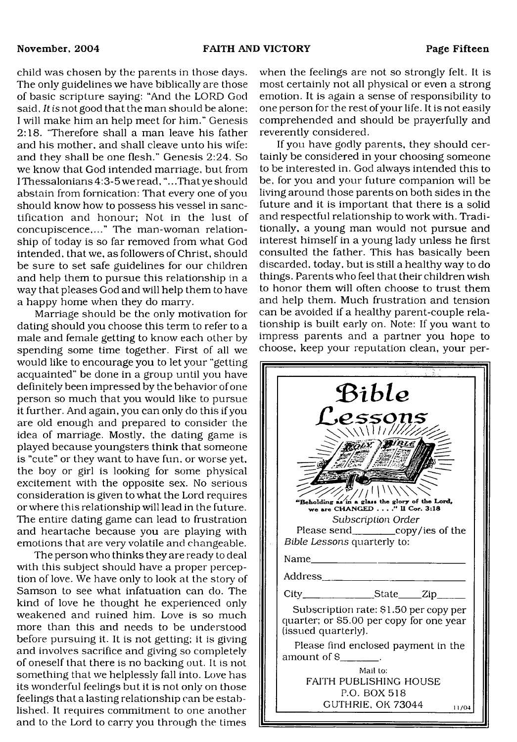child was chosen by the parents in those days. The only guidelines we have biblically are those of basic scripture saying: "And the LORD God said, *It is* not good that the man should be alone; I will make him an help meet for him." Genesis 2:18. 'Therefore shall a man leave his father and his mother, and shall cleave unto his wife: and they shall be one flesh." Genesis 2:24. So we know that God intended marriage, but from I Thessalonians 4:3-5 we read, "...That ye should abstain from fornication: That every one of you should know how to possess his vessel in sanctification and honour; Not in the lust of concupiscence,..." The man-woman relationship of today is so far removed from what God intended, that we. as followers of Christ, should be sure to set safe guidelines for our children and help them to pursue this relationship in a way that pleases God and will help them to have a happy home when they do marry.

Marriage should be the only motivation for dating should you choose this term to refer to a male and female getting to know each other by spending some time together. First of all we would like to encourage you to let your "getting acquainted" be done in a group until you have definitely been impressed by the behavior of one person so much that you would like to pursue it further. And again, you can only do this if you are old enough and prepared to consider the idea of marriage. Mostly, the dating game is played because youngsters think that someone is "cute" or they want to have fun. or worse yet, the boy or girl is looking for some physical excitement with the opposite sex. No serious consideration is given to what the Lord requires or where this relationship will lead in the future. The entire dating game can lead to frustration and heartache because you are playing with emotions that are very volatile and changeable.

The person who thinks they are ready to deal with this subject should have a proper perception of love. We have only to look at the story of Samson to see what infatuation can do. The kind of love he thought he experienced only weakened and ruined him. Love is so much more than this and needs to be understood before pursuing it. It is not getting; it is giving and involves sacrifice and giving so completely of oneself that there is no backing out. It is not something that we helplessly fall into. Love has its wonderful feelings but it is not only on those feelings that a lasting relationship can be established. It requires commitment to one another and to the Lord to carry you through the times

when the feelings are not so strongly felt. It is most certainly not all physical or even a strong emotion. It is again a sense of responsibility to one person for the rest of your life. It is not easily comprehended and should be prayerfully and reverently considered.

If you have godly parents, they should certainly be considered in your choosing someone to be interested in. God always intended this to be, for you and your future companion will be living around those parents on both sides in the future and it is important that there is a solid and respectful relationship to work with. Traditionally, a young man would not pursue and interest himself in a young lady unless he first consulted the father. This has basically been discarded, today, but is still a healthy way to do things. Parents who feel that their children wish to honor them will often choose to trust them and help them. Much frustration and tension can be avoided if a healthy parent-couple relationship is built early on. Note: If you want to impress parents and a partner you hope to choose, keep your reputation clean, your per-

| Bible                                                                                                     |
|-----------------------------------------------------------------------------------------------------------|
| essons.<br>WWW////                                                                                        |
|                                                                                                           |
|                                                                                                           |
| Beholding as in a glass the glory of the Lord,<br>we are CHANGED " II Cor. 3:18                           |
| Subscription Order<br>Please send____________copy/ies of the<br>Bible Lessons quarterly to:               |
| Name                                                                                                      |
| Address____                                                                                               |
| City_________________State_____Zip_______                                                                 |
| Subscription rate: \$1.50 per copy per<br>quarter; or \$5.00 per copy for one year<br>(issued quarterly). |
| Please find enclosed payment in the<br>$amount of \S_$ .                                                  |
| Mail to:<br><b>FAITH PUBLISHING HOUSE</b><br>P.O. BOX 518                                                 |
| GUTHRIE, OK 73044<br>11/04                                                                                |